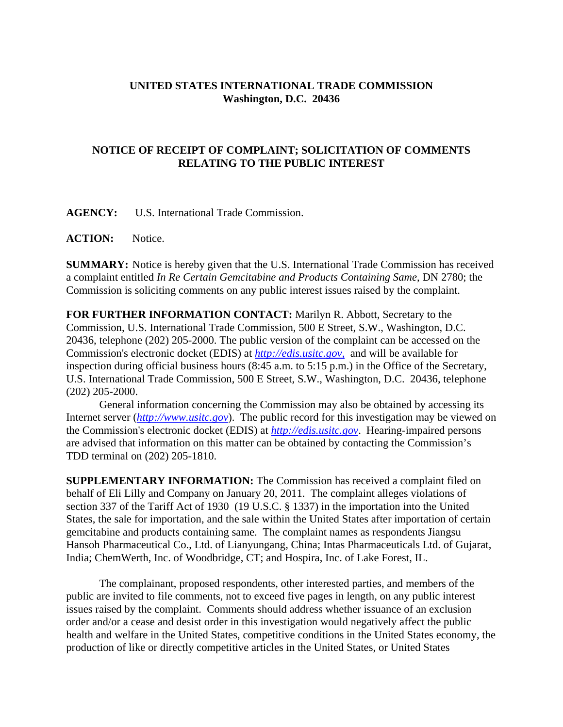## **UNITED STATES INTERNATIONAL TRADE COMMISSION Washington, D.C. 20436**

## **NOTICE OF RECEIPT OF COMPLAINT; SOLICITATION OF COMMENTS RELATING TO THE PUBLIC INTEREST**

**AGENCY:** U.S. International Trade Commission.

**ACTION:** Notice.

**SUMMARY:** Notice is hereby given that the U.S. International Trade Commission has received a complaint entitled *In Re Certain Gemcitabine and Products Containing Same*, DN 2780; the Commission is soliciting comments on any public interest issues raised by the complaint.

**FOR FURTHER INFORMATION CONTACT:** Marilyn R. Abbott, Secretary to the Commission, U.S. International Trade Commission, 500 E Street, S.W., Washington, D.C. 20436, telephone (202) 205-2000. The public version of the complaint can be accessed on the Commission's electronic docket (EDIS) at *http://edis.usitc.gov*, and will be available for inspection during official business hours (8:45 a.m. to 5:15 p.m.) in the Office of the Secretary, U.S. International Trade Commission, 500 E Street, S.W., Washington, D.C. 20436, telephone (202) 205-2000.

General information concerning the Commission may also be obtained by accessing its Internet server (*http://www.usitc.gov*). The public record for this investigation may be viewed on the Commission's electronic docket (EDIS) at *http://edis.usitc.gov*. Hearing-impaired persons are advised that information on this matter can be obtained by contacting the Commission's TDD terminal on (202) 205-1810.

**SUPPLEMENTARY INFORMATION:** The Commission has received a complaint filed on behalf of Eli Lilly and Company on January 20, 2011. The complaint alleges violations of section 337 of the Tariff Act of 1930 (19 U.S.C. § 1337) in the importation into the United States, the sale for importation, and the sale within the United States after importation of certain gemcitabine and products containing same. The complaint names as respondents Jiangsu Hansoh Pharmaceutical Co., Ltd. of Lianyungang, China; Intas Pharmaceuticals Ltd. of Gujarat, India; ChemWerth, Inc. of Woodbridge, CT; and Hospira, Inc. of Lake Forest, IL.

The complainant, proposed respondents, other interested parties, and members of the public are invited to file comments, not to exceed five pages in length, on any public interest issues raised by the complaint. Comments should address whether issuance of an exclusion order and/or a cease and desist order in this investigation would negatively affect the public health and welfare in the United States, competitive conditions in the United States economy, the production of like or directly competitive articles in the United States, or United States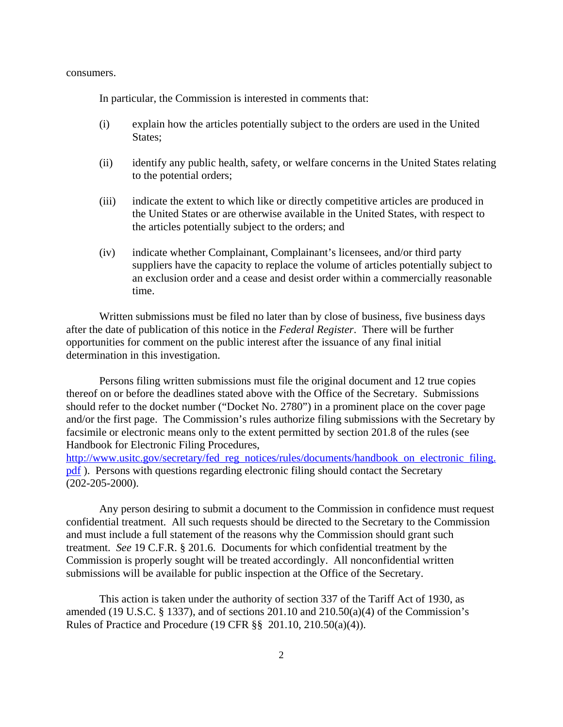consumers.

In particular, the Commission is interested in comments that:

- (i) explain how the articles potentially subject to the orders are used in the United States;
- (ii) identify any public health, safety, or welfare concerns in the United States relating to the potential orders;
- (iii) indicate the extent to which like or directly competitive articles are produced in the United States or are otherwise available in the United States, with respect to the articles potentially subject to the orders; and
- (iv) indicate whether Complainant, Complainant's licensees, and/or third party suppliers have the capacity to replace the volume of articles potentially subject to an exclusion order and a cease and desist order within a commercially reasonable time.

Written submissions must be filed no later than by close of business, five business days after the date of publication of this notice in the *Federal Register*. There will be further opportunities for comment on the public interest after the issuance of any final initial determination in this investigation.

Persons filing written submissions must file the original document and 12 true copies thereof on or before the deadlines stated above with the Office of the Secretary. Submissions should refer to the docket number ("Docket No. 2780") in a prominent place on the cover page and/or the first page. The Commission's rules authorize filing submissions with the Secretary by facsimile or electronic means only to the extent permitted by section 201.8 of the rules (see Handbook for Electronic Filing Procedures,

http://www.usitc.gov/secretary/fed\_reg\_notices/rules/documents/handbook\_on\_electronic\_filing. pdf ). Persons with questions regarding electronic filing should contact the Secretary (202-205-2000).

Any person desiring to submit a document to the Commission in confidence must request confidential treatment. All such requests should be directed to the Secretary to the Commission and must include a full statement of the reasons why the Commission should grant such treatment. *See* 19 C.F.R. § 201.6. Documents for which confidential treatment by the Commission is properly sought will be treated accordingly. All nonconfidential written submissions will be available for public inspection at the Office of the Secretary.

This action is taken under the authority of section 337 of the Tariff Act of 1930, as amended (19 U.S.C.  $\S$  1337), and of sections 201.10 and 210.50(a)(4) of the Commission's Rules of Practice and Procedure (19 CFR §§ 201.10, 210.50(a)(4)).